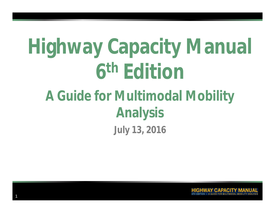# **Highway Capacity Manual 6 th Edition**

## **July 13, 2016 A Guide for Multimodal Mobility Analysis**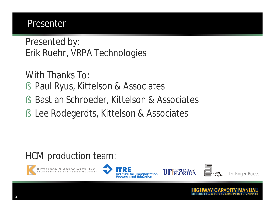#### Presenter

Presented by: Erik Ruehr, VRPA Technologies

With Thanks To:

- § Paul Ryus, Kittelson & Associates
- § Bastian Schroeder, Kittelson & Associates
- § Lee Rodegerdts, Kittelson & Associates

#### HCM production team:









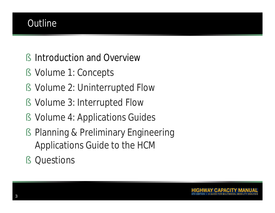#### **Outline**

- § Introduction and Overview
- § Volume 1: Concepts
- § Volume 2: Uninterrupted Flow
- § Volume 3: Interrupted Flow
- § Volume 4: Applications Guides
- § Planning & Preliminary Engineering Applications Guide to the HCM
- § Questions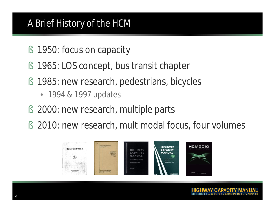#### A Brief History of the HCM

- § 1950: focus on capacity
- § 1965: LOS concept, bus transit chapter
- § 1985: new research, pedestrians, bicycles
	- 1994 & 1997 updates
- § 2000: new research, multiple parts
- § 2010: new research, multimodal focus, four volumes

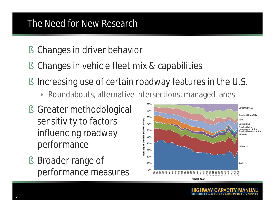#### The Need for New Research

- § Changes in driver behavior
- § Changes in vehicle fleet mix & capabilities
- § Increasing use of certain roadway features in the U.S.
	- Roundabouts, alternative intersections, managed lanes
- § Greater methodological sensitivity to factors influencing roadway performance
- § Broader range of performance measures

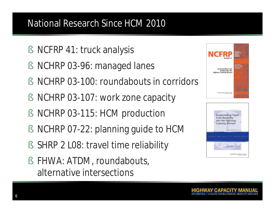#### National Research Since HCM 2010

- § NCFRP 41: truck analysis
- § NCHRP 03-96: managed lanes
- § NCHRP 03-100: roundabouts in corridors
- § NCHRP 03-107: work zone capacity
- § NCHRP 03-115: HCM production
- § NCHRP 07-22: planning guide to HCM
- § SHRP 2 L08: travel time reliability
- § FHWA: ATDM, roundabouts, alternative intersections



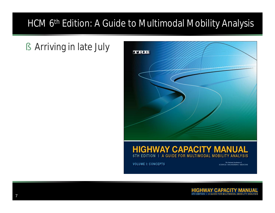#### HCM 6<sup>th</sup> Edition: A Guide to Multimodal Mobility Analysis

§ Arriving in late July



#### **HIGHWAY CAPACITY MANUAL** 6TH EDITION | A GUIDE FOR MULTIMODAL MOBILITY ANALYSIS

**VOLUME I: CONCEPTS** 

The National Academies of SCIENCES · ENGINEERING · MEDICINE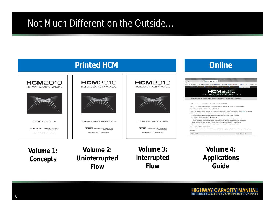#### Not Much Different on the Outside…



**Volume 1: Concepts**

**Volume 2: Uninterrupted Flow**

**Volume 3: Interrupted Flow**

**Volume 4: Applications Guide**

•8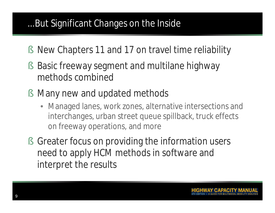#### ...But Significant Changes on the Inside

- § New Chapters 11 and 17 on travel time reliability
- § Basic freeway segment and multilane highway methods combined
- § Many new and updated methods
	- Managed lanes, work zones, alternative intersections and interchanges, urban street queue spillback, truck effects on freeway operations, and more
- § Greater focus on providing the information users need to apply HCM methods in software and interpret the results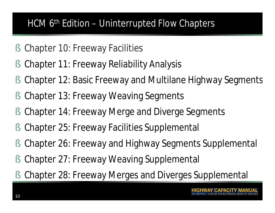#### HCM  $\bar{6}$ <sup>th</sup> Edition – Uninterrupted Flow Chapters

- § Chapter 10: Freeway Facilities
- § Chapter 11: Freeway Reliability Analysis
- § Chapter 12: Basic Freeway and Multilane Highway Segments
- § Chapter 13: Freeway Weaving Segments
- § Chapter 14: Freeway Merge and Diverge Segments
- § Chapter 25: Freeway Facilities Supplemental
- § Chapter 26: Freeway and Highway Segments Supplemental
- § Chapter 27: Freeway Weaving Supplemental
- § Chapter 28: Freeway Merges and Diverges Supplemental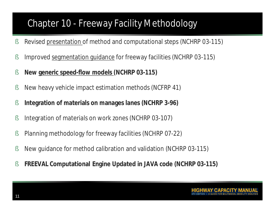#### Chapter 10 - Freeway Facility Methodology

- § Revised presentation of method and computational steps (NCHRP 03-115)
- § Improved segmentation guidance for freeway facilities (NCHRP 03-115)
- § **New generic speed-flow models (NCHRP 03-115)**
- § New heavy vehicle impact estimation methods (NCFRP 41)
- § **Integration of materials on manages lanes (NCHRP 3-96)**
- § Integration of materials on work zones (NCHRP 03-107)
- § Planning methodology for freeway facilities (NCHRP 07-22)
- § New guidance for method calibration and validation (NCHRP 03-115)
- § **FREEVAL Computational Engine Updated in JAVA code (NCHRP 03-115)**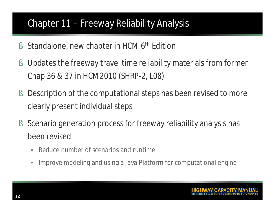#### Chapter 11 – Freeway Reliability Analysis

- § Standalone, new chapter in HCM 6<sup>th</sup> Edition
- § Updates the freeway travel time reliability materials from former Chap 36 & 37 in HCM2010 (SHRP-2, L08)
- § Description of the computational steps has been revised to more clearly present individual steps
- § Scenario generation process for freeway reliability analysis has been revised
	- Reduce number of scenarios and runtime
	- Improve modeling and using a Java Platform for computational engine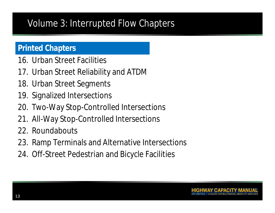#### Volume 3: Interrupted Flow Chapters

#### **Printed Chapters**

- 16. Urban Street Facilities
- 17. Urban Street Reliability and ATDM
- 18. Urban Street Segments
- 19. Signalized Intersections
- 20. Two-Way Stop-Controlled Intersections
- 21. All-Way Stop-Controlled Intersections
- 22. Roundabouts
- 23. Ramp Terminals and Alternative Intersections
- 24. Off-Street Pedestrian and Bicycle Facilities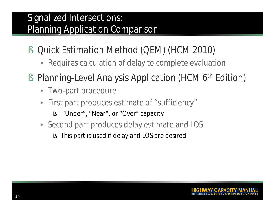#### Signalized Intersections: Planning Application Comparison

- § Quick Estimation Method (QEM) (HCM 2010)
	- Requires calculation of delay to complete evaluation
- § Planning-Level Analysis Application (HCM 6<sup>th</sup> Edition)
	- Two-part procedure
	- First part produces estimate of "sufficiency"
		- § "Under", "Near", or "Over" capacity
	- Second part produces delay estimate and LOS
		- § This part is used if delay and LOS are desired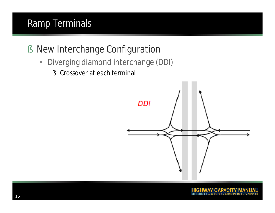#### Ramp Terminals

- § New Interchange Configuration
	- Diverging diamond interchange (DDI)
		- § Crossover at each terminal

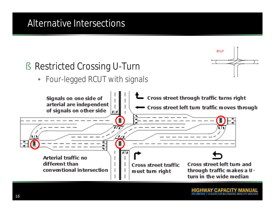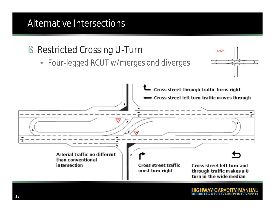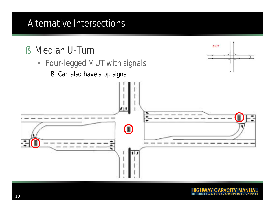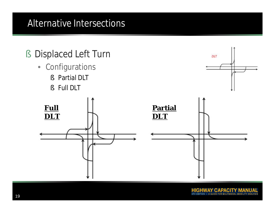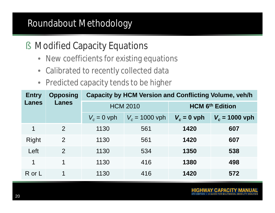#### Roundabout Methodology

- § Modified Capacity Equations
	- New coefficients for existing equations
	- Calibrated to recently collected data
	- Predicted capacity tends to be higher

| <b>Entry</b> | <b>Opposing</b><br><b>Lanes</b> | <b>Capacity by HCM Version and Conflicting Volume, veh/h</b> |                  |                        |                  |
|--------------|---------------------------------|--------------------------------------------------------------|------------------|------------------------|------------------|
| <b>Lanes</b> |                                 | <b>HCM 2010</b>                                              |                  | <b>HCM 6th Edition</b> |                  |
|              |                                 | $V_c = 0$ vph                                                | $V_c = 1000$ vph | $V_c = 0$ vph          | $V_c = 1000$ vph |
| 1            | $\mathcal{P}$                   | 1130                                                         | 561              | 1420                   | 607              |
| Right        | $\overline{2}$                  | 1130                                                         | 561              | 1420                   | 607              |
| Left         | $\overline{2}$                  | 1130                                                         | 534              | 1350                   | 538              |
| 1            | 1                               | 1130                                                         | 416              | 1380                   | 498              |
| R or L       | 1                               | 1130                                                         | 416              | 1420                   | 572              |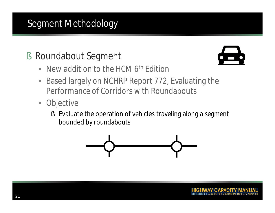#### Segment Methodology

### § Roundabout Segment



- New addition to the HCM 6<sup>th</sup> Edition
- Based largely on NCHRP Report 772, Evaluating the Performance of Corridors with Roundabouts
- Objective
	- § Evaluate the operation of vehicles traveling along a segment bounded by roundabouts

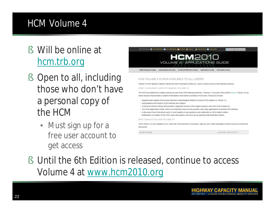#### HCM Volume 4

- § Will be online at hcm.trb.org
- § Open to all, including those who don't have a personal copy of the HCM
	- Must sign up for a free user account to get access



§ Until the 6th Edition is released, continue to access Volume 4 at www.hcm2010.org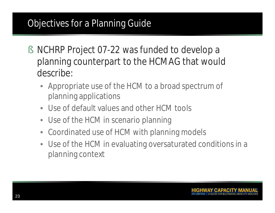#### Objectives for a Planning Guide

- § NCHRP Project 07-22 was funded to develop a planning counterpart to the HCMAG that would describe:
	- Appropriate use of the HCM to a broad spectrum of planning applications
	- Use of default values and other HCM tools
	- Use of the HCM in scenario planning
	- Coordinated use of HCM with planning models
	- Use of the HCM in evaluating oversaturated conditions in a planning context